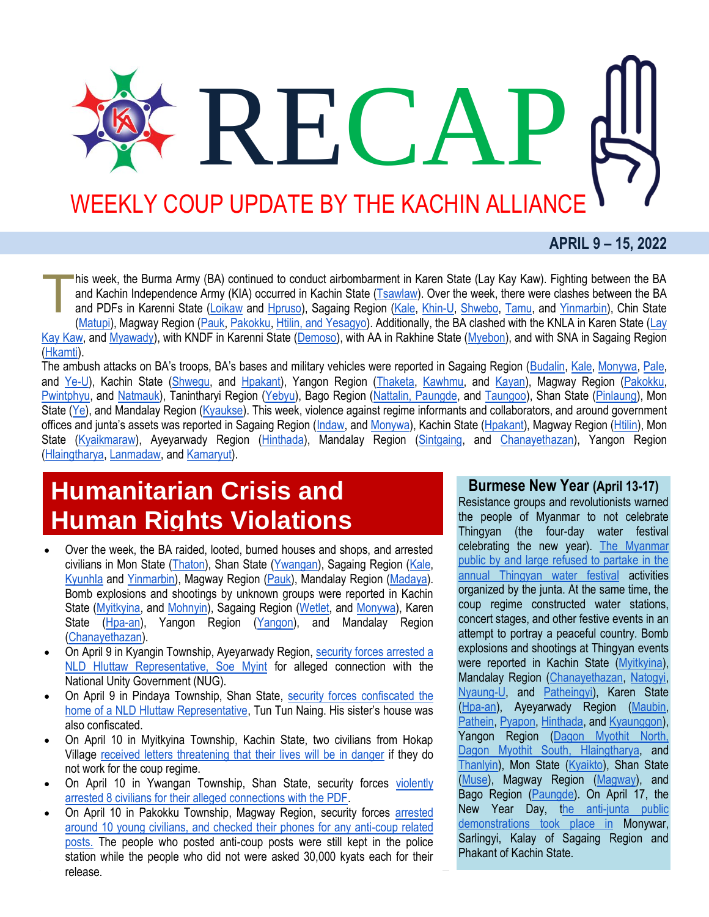# RECA WEEKLY COUP UPDATE BY THE KACHIN ALLIANCE

### **APRIL 9 – 15, 2022**

his week, the Burma Army (BA) continued to conduct airbombarment in Karen State (Lay Kay Kaw). Fighting between the BA and Kachin Independence Army (KIA) occurred in Kachin State [\(Tsawlaw\)](http://burmese.dvb.no/archives/527666). Over the week, there were clashes between the BA and PDFs in Karenni State [\(Loikaw](https://www.facebook.com/The74Media/posts/pfbid0mWmUWoaXYTCy1MMMbjivnZLN4vdJdmrKvZrFfq2jz2x7HR45mXgReKsgQA6CvNoYl) and [Hpruso\)](http://burmese.dvb.no/archives/527535), Sagaing Region [\(Kale,](https://www.facebook.com/The74Media/posts/pfbid0npLjR3rZyTCqMVgDph9wcPQHc4FLdvZ4Ve6as7bzkhX8Ds2D4Ex3XSxpPMawwgwml) [Khin-U,](http://burmese.dvb.no/archives/527841) [Shwebo,](http://burmese.dvb.no/archives/527661) [Tamu,](http://burmese.dvb.no/archives/528028) and [Yinmarbin\)](http://burmese.dvb.no/archives/527460), Chin State [\(Matupi\)](http://burmese.dvb.no/archives/528224), Magway Region [\(Pauk,](http://burmese.dvb.no/archives/527858) [Pakokku,](http://burmese.dvb.no/archives/527588) [Htilin, and Yesagyo\)](http://burmese.dvb.no/archives/527635). Additionally, the BA clashed with the KNLA in Karen State (Lay [Kay Kaw,](https://www.facebook.com/The74Media/posts/pfbid0nTGD6hYxxfZJ46zXv8UzKSF32bj9rpLvr1VTQzrp4tRQW7c5qtjYupuVcigBWiaFl) an[d Myawady\)](http://burmese.dvb.no/archives/528080), with KNDF in Karenni State [\(Demoso\)](http://burmese.dvb.no/archives/527673), with AA in Rakhine State [\(Myebon\)](http://burmese.dvb.no/archives/527577), and with SNA in Sagaing Region [\(Hkamti\)](http://burmese.dvb.no/archives/527190). T

The ambush attacks on BA's troops, BA's bases and military vehicles were reported in Sagaing Region ([Budalin,](http://burmese.dvb.no/archives/526899) [Kale,](https://www.facebook.com/The74Media/posts/pfbid0npLjR3rZyTCqMVgDph9wcPQHc4FLdvZ4Ve6as7bzkhX8Ds2D4Ex3XSxpPMawwgwml) [Monywa,](http://burmese.dvb.no/archives/527458) [Pale,](https://www.facebook.com/The74Media/posts/pfbid02stYwnaa9jEWQLZpsggcbg72nvPbBLo1Tbg5YFoJpyYpXph41hCTsxEiKqfh3pFZsl) and [Ye-U\)](http://burmese.dvb.no/archives/527937), Kachin State [\(Shwegu,](https://www.facebook.com/The74Media/posts/pfbid033wBq3p5naeGB6x1eWVJZB2Mgw9zhPdpbkbtdCcK6uT8mWQeJFg8iMY6Znr6wPEXjl) and [Hpakant\)](http://burmese.dvb.no/archives/528133), Yangon Region [\(Thaketa,](http://burmese.dvb.no/archives/528114) [Kawhmu,](http://burmese.dvb.no/archives/527940) and [Kayan\)](http://burmese.dvb.no/archives/527606), Magway Region [\(Pakokku,](http://burmese.dvb.no/archives/528067) [Pwintphyu,](http://burmese.dvb.no/archives/526951) and [Natmauk\)](http://burmese.dvb.no/archives/527110), Tanintharyi Region [\(Yebyu\)](http://burmese.dvb.no/archives/527961), Bago Region [\(Nattalin, Paungde,](http://burmese.dvb.no/archives/527940) and [Taungoo\)](http://burmese.dvb.no/archives/527882), Shan State [\(Pinlaung\)](http://burmese.dvb.no/archives/527286), Mon State [\(Ye\)](http://burmese.dvb.no/archives/527216), and Mandalay Region [\(Kyaukse\)](http://burmese.dvb.no/archives/527199). This week, violence against regime informants and collaborators, and around government offices and junta's assets was reported in Sagaing Region ([Indaw,](https://www.facebook.com/The74Media/posts/pfbid026CtwcgqFU9na4X4RR25xWomw5hgJU5maFEWss3HUs3LPydyiZcZSdX6UXdZRfF5Gl) and [Monywa\)](http://burmese.dvb.no/archives/528006), Kachin State [\(Hpakant\)](https://www.facebook.com/The74Media/posts/pfbid029A8wrUFs9dVPFTb1WempK1Y51wUvmKfXHbRS8v2Cvp2tX9pDySabvwRJq9RNEQUtl), Magway Region [\(Htilin\)](http://burmese.dvb.no/archives/528099), Mon State [\(Kyaikmaraw\)](http://burmese.dvb.no/archives/528061), Ayeyarwady Region [\(Hinthada\)](http://burmese.dvb.no/archives/528003), Mandalay Region [\(Sintgaing,](http://burmese.dvb.no/archives/527725) and [Chanayethazan\)](http://burmese.dvb.no/archives/527404), Yangon Region [\(Hlaingtharya,](http://burmese.dvb.no/archives/527027) [Lanmadaw,](http://burmese.dvb.no/archives/526961) and [Kamaryut\)](http://burmese.dvb.no/archives/526955).

## **Humanitarian Crisis and Human Rights Violations**

- Over the week, the BA raided, looted, burned houses and shops, and arrested civilians in Mon State [\(Thaton\)](http://burmese.dvb.no/archives/528255), Shan State [\(Ywangan\)](http://burmese.dvb.no/archives/528096), Sagaing Region [\(Kale,](http://burmese.dvb.no/archives/527573) [Kyunhla](http://burmese.dvb.no/archives/528031) and [Yinmarbin\)](http://burmese.dvb.no/archives/527752), Magway Region [\(Pauk\)](http://burmese.dvb.no/archives/527858), Mandalay Region [\(Madaya\)](http://burmese.dvb.no/archives/527183). Bomb explosions and shootings by unknown groups were reported in Kachin State [\(Myitkyina,](https://www.facebook.com/The74Media/posts/pfbid02utXsm3juVsGd3fu5ryhBegJ3XeTGSUy7viSTyRcc4ZN6EGn83jYfrs8QhyarF2Zxl) and [Mohnyin\)](https://www.facebook.com/The74Media/posts/pfbid08EJEAYS34Asq4hY12UHuxTYR6zjUut7ukLTx5pKt5J3BoAX183euWizBh5xsFxh9l), Sagaing Region [\(Wetlet,](http://burmese.dvb.no/archives/527807) and [Monywa\)](http://burmese.dvb.no/archives/527557), Karen State [\(Hpa-an\)](http://burmese.dvb.no/archives/527203), Yangon Region [\(Yangon\)](http://burmese.dvb.no/archives/527183), and Mandalay Region [\(Chanayethazan\)](http://burmese.dvb.no/archives/527049).
- On April 9 in Kyangin Township, Ayeyarwady Region, [security forces arrested a](http://burmese.dvb.no/archives/526966)  [NLD Hluttaw Representative, Soe Myint](http://burmese.dvb.no/archives/526966) for alleged connection with the National Unity Government (NUG).
- On April 9 in Pindaya Township, Shan State, [security forces confiscated the](http://burmese.dvb.no/archives/527130)  [home of a NLD Hluttaw Representative](http://burmese.dvb.no/archives/527130), Tun Tun Naing. His sister's house was also confiscated.
- On April 10 in Myitkyina Township, Kachin State, two civilians from Hokap Village [received letters threatening that their lives will be in danger](https://www.facebook.com/The74Media/posts/pfbid02deABYE8ebgETaeQxSVcT7NWQ7JcAND6PUDg8B5b9H1vgZZBw1M65wAiGhDrCSa9ml) if they do not work for the coup regime.
- On April 10 in Ywangan Township, Shan State, security forces violently [arrested 8 civilians for their alleged connections with the PDF.](http://burmese.dvb.no/archives/527092)
- **1 |** P a g e On April 10 in Pakokku Township, Magway Region, security forces [arrested](http://burmese.dvb.no/archives/527140)  [around 10 young civilians, and checked their phones for any anti-coup related](http://burmese.dvb.no/archives/527140)  [posts.](http://burmese.dvb.no/archives/527140) The people who posted anti-coup posts were still kept in the police station while the people who did not were asked 30,000 kyats each for their release.

#### **Burmese New Year (April 13-17)**

Resistance groups and revolutionists warned the people of Myanmar to not celebrate Thingyan (the four-day water festival celebrating the new year). [The Myanmar](https://www.myanmar-now.org/en/news/myanmar-marks-traditional-new-year-with-boycotts-of-junta-sponsored-festivities)  [public by and large refused to partake in the](https://www.myanmar-now.org/en/news/myanmar-marks-traditional-new-year-with-boycotts-of-junta-sponsored-festivities)  [annual Thingyan water festival](https://www.myanmar-now.org/en/news/myanmar-marks-traditional-new-year-with-boycotts-of-junta-sponsored-festivities) activities organized by the junta. At the same time, the coup regime constructed water stations, concert stages, and other festive events in an attempt to portray a peaceful country. Bomb explosions and shootings at Thingyan events were reported in Kachin State [\(Myitkyina\)](https://www.facebook.com/The74Media/photos/a.121070006079196/539356307583895/), Mandalay Region [\(Chanayethazan,](http://burmese.dvb.no/archives/527832) [Natogyi,](http://burmese.dvb.no/archives/528139) [Nyaung-U,](http://burmese.dvb.no/archives/527658) and [Patheingyi\)](http://burmese.dvb.no/archives/527667), Karen State [\(Hpa-an\)](http://burmese.dvb.no/archives/528108), Ayeyarwady Region [\(Maubin,](http://burmese.dvb.no/archives/527897) [Pathein,](http://burmese.dvb.no/archives/528077) [Pyapon,](http://burmese.dvb.no/archives/528070) [Hinthada,](http://burmese.dvb.no/archives/527289) and [Kyaunggon\)](http://burmese.dvb.no/archives/527940), Yangon Region (Dagon Myothit North, [Dagon Myothit South, Hlaingtharya,](http://burmese.dvb.no/archives/527758) and [Thanlyin\)](http://burmese.dvb.no/archives/527940), Mon State [\(Kyaikto\)](http://burmese.dvb.no/archives/527940), Shan State [\(Muse\)](http://burmese.dvb.no/archives/527470), Magway Region [\(Magway\)](http://burmese.dvb.no/archives/527101), and Bago Region [\(Paungde\)](http://burmese.dvb.no/archives/527085). On April 17, the New Year Day, [the anti-junta public](https://www.myanmar-now.org/mm/news/11028)  [demonstrations took place in](https://www.myanmar-now.org/mm/news/11028) Monywar, Sarlingyi, Kalay of Sagaing Region and Phakant of Kachin State.